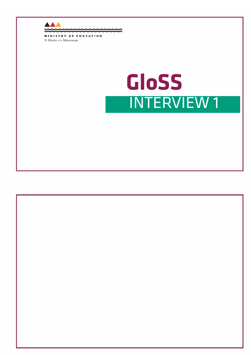

## **GLoSS GloSSINTERVIEW 1**

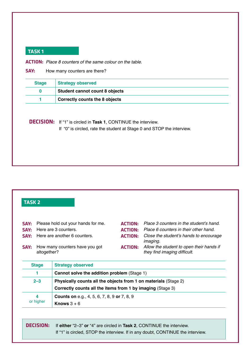**actIon:** *Place 8 counters of the same colour on the table.*

**SAY:** How many counters are there?

| <b>Stage</b> | <b>Strategy observed</b>              |
|--------------|---------------------------------------|
|              | <b>Student cannot count 8 objects</b> |
|              | <b>Correctly counts the 8 objects</b> |

**decISIon:** If "1" is circled in **Task 1**, CONTINUE the interview.

If "0" is circled, rate the student at Stage 0 and STOP the interview.

### **taSk 2**

| SAY: | Please hold out your hands for me.            |                | <b>ACTION:</b> Place 3 counters in the student's hand.                   |
|------|-----------------------------------------------|----------------|--------------------------------------------------------------------------|
| SAY: | Here are 3 counters.                          |                | <b>ACTION:</b> Place 6 counters in their other hand.                     |
|      | <b>SAY:</b> Here are another 6 counters.      | <b>ACTION:</b> | Close the student's hands to encourage<br><i>imaging.</i>                |
| SAY: | How many counters have you got<br>altogether? | <b>ACTION:</b> | Allow the student to open their hands if<br>they find imaging difficult. |

| <b>Stage</b>   | <b>Strategy observed</b>                                                                                                      |
|----------------|-------------------------------------------------------------------------------------------------------------------------------|
|                | Cannot solve the addition problem (Stage 1)                                                                                   |
| $2 - 3$        | Physically counts all the objects from 1 on materials (Stage 2)<br>Correctly counts all the items from 1 by imaging (Stage 3) |
| 4<br>or higher | <b>Counts on e.g., 4, 5, 6, 7, 8, 9 or 7, 8, 9</b><br>Knows $3+6$                                                             |

| <b>DECISION:</b> If either "2-3" or "4" are circled in Task 2, CONTINUE the interview. |
|----------------------------------------------------------------------------------------|
| If "1" is circled, STOP the interview. If in any doubt, CONTINUE the interview.        |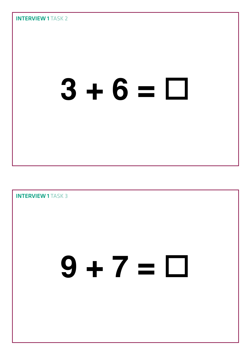# **3 + 6 =**

**INTERVIEW 1 TASK 3** 

## **9 + 7 =**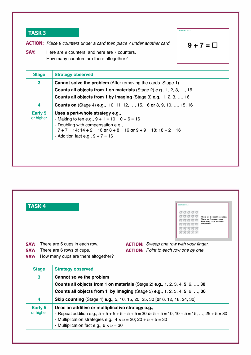**actIon:** *Place 9 counters under a card then place 7 under another card.*

$$
9+7=\square
$$

INTERVIEW 1 TASK:

**SAY:** Here are 9 counters, and here are 7 counters. How many counters are there altogether?

| <b>Cannot solve the problem</b> (After removing the cards–Stage 1)                                                                                                                                                                                                         |  |
|----------------------------------------------------------------------------------------------------------------------------------------------------------------------------------------------------------------------------------------------------------------------------|--|
| <b>Counts all objects from 1 on materials (Stage 2) e.g., 1, 2, 3, , 16</b>                                                                                                                                                                                                |  |
| <b>Counts all objects from 1 by imaging (Stage 3) e.g., 1, 2, 3, , 16</b>                                                                                                                                                                                                  |  |
| <b>Counts on</b> (Stage 4) <b>e.g.,</b> 10, 11, 12, , 15, 16 or 8, 9, 10, , 15, 16                                                                                                                                                                                         |  |
| Uses a part-whole strategy e.g.,<br>Early 5<br>or higher<br>- Making to ten e.g., $9 + 1 = 10$ ; $10 + 6 = 16$<br>- Doubling with compensation e.g.,<br>$7 + 7 = 14$ ; $14 + 2 = 16$ or $8 + 8 = 16$ or $9 + 9 = 18$ ; $18 - 2 = 16$<br>- Addition fact e.g., $9 + 7 = 16$ |  |
|                                                                                                                                                                                                                                                                            |  |

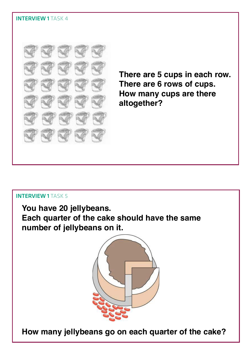

**There are 5 cups in each row. There are 6 rows of cups. How many cups are there altogether?**

#### Interview 1 Task 5

**You have 20 jellybeans. Each quarter of the cake should have the same number of jellybeans on it.**



**How many jellybeans go on each quarter of the cake?**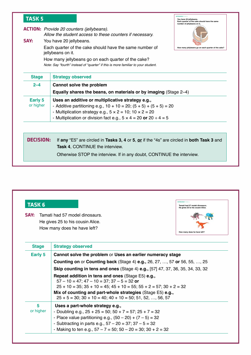| <b>TASK 5</b>                                                                                                  |                                                                                                                                                                                                                                                                                                                                                                     | <b>INTERVIEW 1 TASK 5</b><br>You have 20 jellybeans.<br>Each quarter of the cake should have the same<br>number of jellybeans on it. |
|----------------------------------------------------------------------------------------------------------------|---------------------------------------------------------------------------------------------------------------------------------------------------------------------------------------------------------------------------------------------------------------------------------------------------------------------------------------------------------------------|--------------------------------------------------------------------------------------------------------------------------------------|
| SAY:                                                                                                           | <b>ACTION:</b> Provide 20 counters (jellybeans).<br>Allow the student access to these counters if necessary.<br>You have 20 jellybeans.<br>Each quarter of the cake should have the same number of<br>jellybeans on it.<br>How many jellybeans go on each quarter of the cake?<br>Note: Say "fourth" instead of "quarter" if this is more familiar to your student. | How many jellybeans go on each quarter of the cake?                                                                                  |
| <b>Stage</b>                                                                                                   | <b>Strategy observed</b>                                                                                                                                                                                                                                                                                                                                            |                                                                                                                                      |
| $2 - 4$<br>Cannot solve the problem<br><b>Equally shares the beans, on materials or by imaging (Stage 2–4)</b> |                                                                                                                                                                                                                                                                                                                                                                     |                                                                                                                                      |
| <b>Early 5</b><br>or higher                                                                                    | Uses an additive or multiplicative strategy e.g.,<br>- Additive partitioning e.g., $10 + 10 = 20$ ; $(5 + 5) + (5 + 5) = 20$<br>- Multiplication strategy e.g., $5 \times 2 = 10$ ; $10 \times 2 = 20$<br>- Multiplication or division fact e.g., $5 \times 4 = 20$ or $20 \div 4 = 5$                                                                              |                                                                                                                                      |
| DECISION:                                                                                                      | If any "E5" are circled in Tasks 3, 4 or 5, or if the "4s" are circled in both Task 3 and<br><b>Task 4, CONTINUE the interview.</b><br>Otherwise STOP the interview. If in any doubt, CONTINUE the interview.                                                                                                                                                       |                                                                                                                                      |

| <b>TASK 6</b><br>SAY: | Tamati had 57 model dinosaurs.<br>He gives 25 to his cousin Alice.<br>How many does he have left?                                  | Tamati had 57 model dinosaurs.<br>He gives 25 to his cousin Alice.<br>How many does he have left? |
|-----------------------|------------------------------------------------------------------------------------------------------------------------------------|---------------------------------------------------------------------------------------------------|
| <b>Stage</b>          | <b>Strategy observed</b>                                                                                                           |                                                                                                   |
| Early 5               | Cannot solve the problem or Uses an earlier numeracy stage                                                                         |                                                                                                   |
|                       | <b>Counting on or Counting back (Stage 4) e.g., 26, 27, , 57 or 56, 55, , 25</b>                                                   |                                                                                                   |
|                       | <b>Skip counting in tens and ones (Stage 4) e.g., [57] 47, 37, 36, 35, 34, 33, 32</b>                                              |                                                                                                   |
|                       | Repeat addition in tens and ones (Stage E5) e.g.,                                                                                  |                                                                                                   |
|                       | $57 - 10 = 47$ ; $47 - 10 = 37$ ; $37 - 5 = 32$ or                                                                                 |                                                                                                   |
|                       | $25 + 10 = 35$ ; $35 + 10 = 45$ ; $45 + 10 = 55$ ; $55 + 2 = 57$ ; $30 + 2 = 32$                                                   |                                                                                                   |
|                       | Mix of counting and part-whole strategies (Stage E5) e.g.,<br>$25 + 5 = 30$ ; $30 + 10 = 40$ ; $40 + 10 = 50$ ; $51, 52, , 56, 57$ |                                                                                                   |
| 5                     | Uses a part-whole strategy e.g.,                                                                                                   |                                                                                                   |
| or higher             | - Doubling e.g., $25 + 25 = 50$ ; $50 + 7 = 57$ ; $25 + 7 = 32$                                                                    |                                                                                                   |
|                       | - Place value partitioning e.g., $(50 - 20) + (7 - 5) = 32$                                                                        |                                                                                                   |
|                       | - Subtracting in parts e.g., $57 - 20 = 37$ ; $37 - 5 = 32$                                                                        |                                                                                                   |
|                       | - Making to ten e.g., $57 - 7 = 50$ ; $50 - 20 = 30$ ; $30 + 2 = 32$                                                               |                                                                                                   |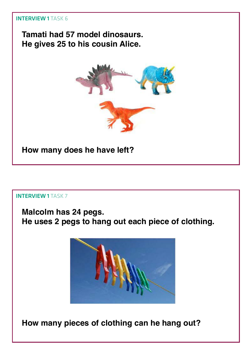**Tamati had 57 model dinosaurs. He gives 25 to his cousin Alice.**



**How many does he have left?**

#### Interview 1 Task 7

## **Malcolm has 24 pegs. He uses 2 pegs to hang out each piece of clothing.**



**How many pieces of clothing can he hang out?**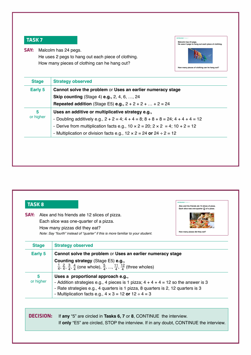

**Say:** Malcolm has 24 pegs. He uses 2 pegs to hang out each piece of clothing. How many pieces of clothing can he hang out?

| Early 5        | Cannot solve the problem or Uses an earlier numeracy stage                                     |
|----------------|------------------------------------------------------------------------------------------------|
|                | <b>Skip counting</b> (Stage 4) <b>e.g.,</b> 2, 4, 6, , 24                                      |
|                | <b>Repeated addition</b> (Stage E5) <b>e.g.,</b> $2 + 2 + 2 +  + 2 = 24$                       |
| 5<br>or higher | Uses an additive or multiplicative strategy e.g.,                                              |
|                | - Doubling additively e.g., $2 + 2 = 4$ ; $4 + 4 = 8$ ; $8 + 8 + 8 = 24$ ; $4 + 4 + 4 = 12$    |
|                | - Derive from multiplication facts e.g., $10 \times 2 = 20$ ; $2 \times 2 = 4$ ; $10 + 2 = 12$ |
|                | - Multiplication or division facts e.g., $12 \times 2 = 24$ or $24 \div 2 = 12$                |

| SAY:           | Alex and his friends ate 12 slices of pizza.<br>Each slice was one-quarter of a pizza.<br>How many pizzas did they eat?<br>Note: Say "fourth" instead of "quarter" if this is more familiar to your student.                                                                        | How many pizzas did they eat? |
|----------------|-------------------------------------------------------------------------------------------------------------------------------------------------------------------------------------------------------------------------------------------------------------------------------------|-------------------------------|
| <b>Stage</b>   | <b>Strategy observed</b>                                                                                                                                                                                                                                                            |                               |
| <b>Early 5</b> | Cannot solve the problem or Uses an earlier numeracy stage                                                                                                                                                                                                                          |                               |
|                | Counting strategy (Stage E5) e.g.,<br>$\frac{1}{4}$ , $\frac{2}{4}$ , $\frac{3}{4}$ , $\frac{4}{4}$ (one whole), $\frac{5}{4}$ , , $\frac{11}{4}$ , $\frac{12}{4}$ (three wholes)                                                                                                   |                               |
| 5<br>or higher | Uses a proportional approach e.g.,<br>- Addition strategies e.g., 4 pieces is 1 pizza; $4 + 4 + 4 = 12$ so the answer is 3<br>- Rate strategies e.g., 4 quarters is 1 pizza, 8 quarters is 2, 12 quarters is 3<br>- Multiplication facts e.g., $4 \times 3 = 12$ or $12 \div 4 = 3$ |                               |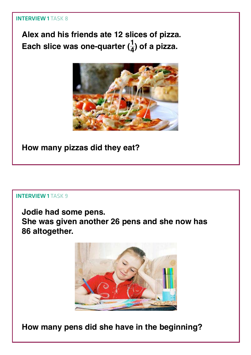#### **INTERVIEW 1 TASK 8**

**Alex and his friends ate 12 slices of pizza.** Each slice was one-quarter  $(\frac{1}{4})$  of a pizza.



**How many pizzas did they eat?**

#### INTERVIEW 1 TASK 9

**Jodie had some pens. She was given another 26 pens and she now has 86 altogether.**



**How many pens did she have in the beginning?**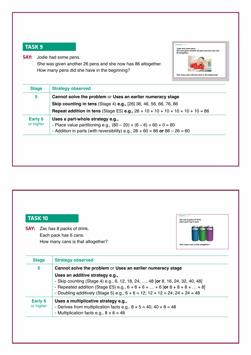**Say:** Jodie had some pens.

She was given another 26 pens and she now has 86 altogether. How many pens did she have in the beginning?



| 5                    | Cannot solve the problem or Uses an earlier numeracy stage<br><b>Skip counting in tens (Stage 4) e.g., [26] 36, 46, 56, 66, 76, 86</b><br><b>Repeat addition in tens</b> (Stage E5) <b>e.g.</b> , $26 + 10 + 10 + 10 + 10 + 10 + 10 = 86$ |
|----------------------|-------------------------------------------------------------------------------------------------------------------------------------------------------------------------------------------------------------------------------------------|
| Early 6<br>or higher | Uses a part-whole strategy e.g.,<br>- Place value partitioning e.g., $(80 - 20) + (6 - 6) = 60 + 0 = 60$<br>- Addition in parts (with reversibility) e.g., $26 + 60 = 86$ or $86 - 26 = 60$                                               |

| <b>TASK 10</b> |                                                                                                     | <b>INTERVIEW 1 TASK 10</b><br>Zac has 8 packs of drink.<br>Each pack has 6 cans. |
|----------------|-----------------------------------------------------------------------------------------------------|----------------------------------------------------------------------------------|
|                | <b>SAY:</b> Zac has 8 packs of drink.<br>Each pack has 6 cans.<br>How many cans is that altogether? | How many cans is that altogether?                                                |
| <b>Stage</b>   | <b>Strategy observed</b>                                                                            |                                                                                  |
| 5              | Cannot solve the problem or Uses an earlier numeracy stage                                          |                                                                                  |

| 5                    | Cannot solve the problem or Uses an earlier numeracy stage                                                                                                                                                                                                                                    |  |
|----------------------|-----------------------------------------------------------------------------------------------------------------------------------------------------------------------------------------------------------------------------------------------------------------------------------------------|--|
|                      | Uses an additive strategy e.g.,<br>- Skip counting (Stage 4) e.g., 6, 12, 18, 24, , 48 [or 8, 16, 24, 32, 40, 48]<br>- Repeated addition (Stage E5) e.g., $6 + 6 + 6 +  + 6$ [or $8 + 8 + 8 +  + 8$ ]<br>- Doubling additively (Stage 5) e.g., $6 + 6 = 12$ ; $12 + 12 = 24$ ; $24 + 24 = 48$ |  |
| Early 6<br>or higher | Uses a multiplicative strategy e.g.,<br>- Derives from multiplication facts e.g., $8 \times 5 = 40$ ; $40 + 8 = 48$<br>- Multiplication facts e.g., $8 \times 6 = 48$                                                                                                                         |  |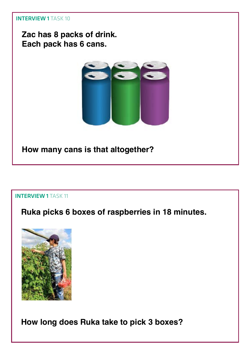## **Zac has 8 packs of drink. Each pack has 6 cans.**



**How many cans is that altogether?**

#### **INTERVIEW 1 TASK 11**

## **Ruka picks 6 boxes of raspberries in 18 minutes.**



**How long does Ruka take to pick 3 boxes?**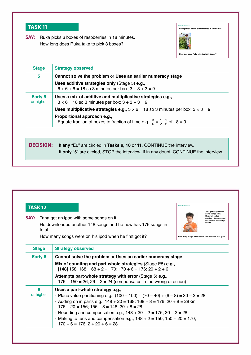**SAY:** Ruka picks 6 boxes of raspberries in 18 minutes. How long does Ruka take to pick 3 boxes?



| <b>Stage</b><br>5    | <b>Strategy observed</b><br>Cannot solve the problem or Uses an earlier numeracy stage                                                  |
|----------------------|-----------------------------------------------------------------------------------------------------------------------------------------|
|                      | Uses additive strategies only (Stage 5) e.g.,<br>$6 + 6 + 6 = 18$ so 3 minutes per box; $3 + 3 + 3 = 9$                                 |
| Early 6<br>or higher | Uses a mix of additive and multiplicative strategies e.g.,<br>$3 \times 6 = 18$ so 3 minutes per box; $3 + 3 + 3 = 9$                   |
|                      | <b>Uses multiplicative strategies e.g., </b> $3 \times 6 = 18$ so 3 minutes per box; $3 \times 3 = 9$                                   |
|                      | Proportional approach e.g.,<br>Equate fraction of boxes to fraction of time e.g., $\frac{3}{6} = \frac{1}{2}$ ; $\frac{1}{2}$ of 18 = 9 |
|                      |                                                                                                                                         |
| DECISION:            | If any "E6" are circled in Tasks 9, 10 or 11, CONTINUE the interview.                                                                   |
|                      | If only "5" are circled, STOP the interview. If in any doubt, CONTINUE the interview.                                                   |

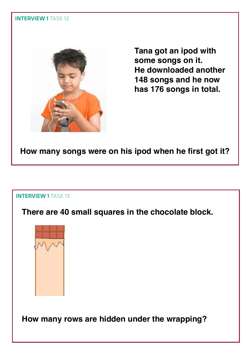

**Tana got an ipod with some songs on it. He downloaded another 148 songs and he now has 176 songs in total.**

**How many songs were on his ipod when he first got it?**

#### **INTERVIEW 1 TASK 13**

**There are 40 small squares in the chocolate block.**



**How many rows are hidden under the wrapping?**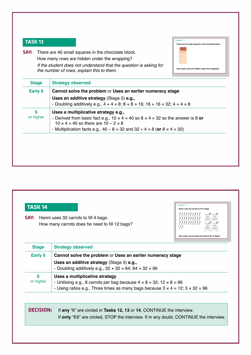INTERVIEW 1 TASK 13 **There are 40 small squares in the chocolate block. How many rows are hidden under the wrapping?**

| <b>SAY:</b> There are 40 small squares in the chocolate block.                                                  |
|-----------------------------------------------------------------------------------------------------------------|
| How many rows are hidden under the wrapping?                                                                    |
| If the student does not understand that the question is asking for<br>the number of rows, explain this to them. |

| Early 6        | Cannot solve the problem or Uses an earlier numeracy stage<br>Uses an additive strategy (Stage 5) e.g.,<br>- Doubling additively e.g., $4 + 4 = 8$ ; $8 + 8 = 16$ ; $16 + 16 = 32$ ; $4 + 4 = 8$                                                                                |
|----------------|---------------------------------------------------------------------------------------------------------------------------------------------------------------------------------------------------------------------------------------------------------------------------------|
| 6<br>or higher | Uses a multiplicative strategy e.g.,<br>- Derived from basic fact e.g., 10 $\times$ 4 = 40 so 8 $\times$ 4 = 32 so the answer is 8 or<br>$10 \times 4 = 40$ so there are $10 - 2 = 8$<br>- Multiplication facts e.g., $40 - 8 = 32$ and $32 \div 4 = 8$ (or $8 \times 4 = 32$ ) |

| SAY:           | Hanni uses 32 carrots to fill 4 bags.<br>How many carrots does he need to fill 12 bags?                                                                                                                              | How many carrots does he need to fill 12 bags? |
|----------------|----------------------------------------------------------------------------------------------------------------------------------------------------------------------------------------------------------------------|------------------------------------------------|
| <b>Stage</b>   | <b>Strategy observed</b>                                                                                                                                                                                             |                                                |
| Early 6        | Cannot solve the problem or Uses an earlier numeracy stage<br>Uses an additive strategy (Stage 5) e.g.,<br>- Doubling additively e.g., $32 + 32 = 64$ ; $64 + 32 = 96$                                               |                                                |
| 6<br>or higher | Uses a multiplicative strategy<br>- Unitising e.g., 8 carrots per bag because $4 \times 8 = 32$ ; $12 \times 8 = 96$<br>- Using ratios e.g., Three times as many bags because $3 \times 4 = 12$ ; $3 \times 32 = 96$ |                                                |
|                |                                                                                                                                                                                                                      |                                                |
| DECISION:      | If any "6" are circled in Tasks 12, 13 or 14, CONTINUE the interview.                                                                                                                                                |                                                |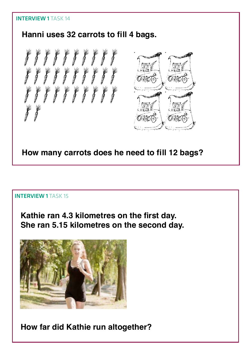## **Hanni uses 32 carrots to fill 4 bags.**





#### **INTERVIEW 1 TASK 15**

**Kathie ran 4.3 kilometres on the first day. She ran 5.15 kilometres on the second day.** 



**How far did Kathie run altogether?**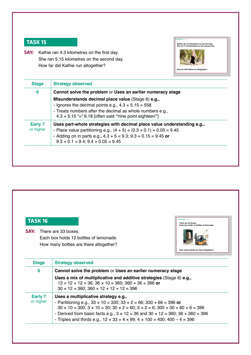**SAY:** Kathie ran 4.3 kilometres on the first day. She ran 5.15 kilometres on the second day. How far did Kathie run altogether?



| 6                    | Cannot solve the problem or Uses an earlier numeracy stage              |
|----------------------|-------------------------------------------------------------------------|
|                      | Misunderstands decimal place value (Stage 6) e.g.,                      |
|                      | - Ignores the decimal points e.g., $4.3 + 5.15 = 558$                   |
|                      | - Treats numbers after the decimal as whole numbers e.g.,               |
|                      | $4.3 + 5.15$ "=" 9.18 [often said "nine point eighteen"]                |
| Early 7<br>or higher | Uses part-whole strategies with decimal place value understanding e.g., |
|                      | - Place value partitioning e.g., $(4 + 5) + (0.3 + 0.1) + 0.05 = 9.45$  |
|                      | - Adding on in parts e.g., $4.3 + 5 = 9.3$ ; $9.3 + 0.15 = 9.45$ or     |
|                      | $9.3 + 0.1 = 9.4$ ; $9.4 + 0.05 = 9.45$                                 |



| $\mathbf{v}$ | <u>USES a multiplicative strategy e.g.,</u>                                                                   |
|--------------|---------------------------------------------------------------------------------------------------------------|
| igher        | - Partitioning e.g., $33 \times 10 = 330$ ; $33 \times 2 = 66$ ; $330 + 66 = 396$ or                          |
|              | $30 \times 10 = 300$ ; $3 \times 10 = 30$ ; $30 \times 2 = 60$ ; $3 \times 2 = 6$ ; $300 + 30 + 60 + 6 = 396$ |
|              | - Derived from basic facts e.g., $3 \times 12 = 36$ and $30 \times 12 = 360$ ; $36 + 360 = 396$               |
|              | - Triples and thirds e.g., $12 \times 33 = 4 \times 99$ ; $4 \times 100 = 400$ ; $400 - 4 = 396$              |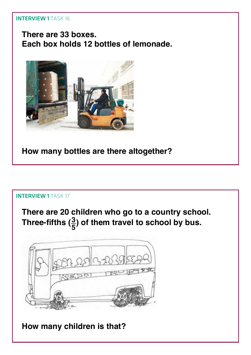**There are 33 boxes. Each box holds 12 bottles of lemonade.**



**How many bottles are there altogether?**

#### INTERVIEW 1 TASK 17

**There are 20 children who go to a country school.**  Three-fifths  $(\frac{3}{5})$  of them travel to school by bus.



**How many children is that?**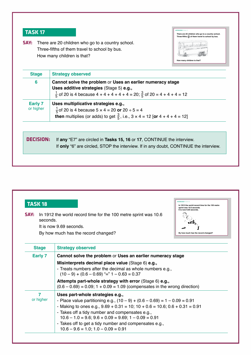**SAY:** There are 20 children who go to a country school. Three-fifths of them travel to school by bus. How many children is that?

| <b>Stage</b>         | <b>Strategy observed</b>                                                                                                                                                                                    |
|----------------------|-------------------------------------------------------------------------------------------------------------------------------------------------------------------------------------------------------------|
| 6                    | Cannot solve the problem or Uses an earlier numeracy stage<br>Uses additive strategies (Stage 5) e.g.,<br>$\frac{1}{5}$ of 20 is 4 because 4 + 4 + 4 + 4 + 4 = 20; $\frac{3}{5}$ of 20 = 4 + 4 + 4 = 12     |
| Early 7<br>or higher | Uses multiplicative strategies e.g.,<br>$\frac{1}{5}$ of 20 is 4 because 5 x 4 = 20 or 20 ÷ 5 = 4<br><b>then</b> multiplies (or adds) to get $\frac{3}{5}$ , i.e., $3 \times 4 = 12$ [or $4 + 4 + 4 = 12$ ] |
| DECISION:            | If any "E7" are circled in Tasks 15, 16 or 17, CONTINUE the interview.                                                                                                                                      |

IntervIew 1 TASk 17

**How many children is that?**

**5 3 There are 20 children who go to a country school. Three-fifths ( ) of them travel to school by bus.**

pen og 32000000

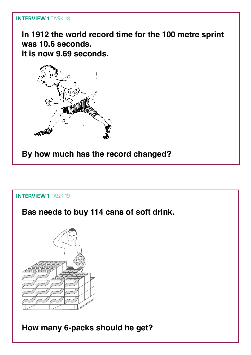**In 1912 the world record time for the 100 metre sprint was 10.6 seconds. It is now 9.69 seconds.** 



**By how much has the record changed?**

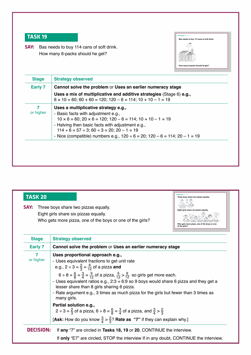**SAY:** Bas needs to buy 114 cans of soft drink. How many 6-packs should he get?

| Bas needs to buy 114 cans of soft drink. |  |
|------------------------------------------|--|
|                                          |  |
| How many 6-packs should he get?          |  |

| Early 7        | Cannot solve the problem or Uses an earlier numeracy stage<br>Uses a mix of multiplicative and additive strategies (Stage 6) e.g.,<br>$6 \times 10 = 60$ ; $60 + 60 = 120$ ; $120 - 6 = 114$ ; $10 + 10 - 1 = 19$                                                                                                                                                          |
|----------------|----------------------------------------------------------------------------------------------------------------------------------------------------------------------------------------------------------------------------------------------------------------------------------------------------------------------------------------------------------------------------|
| 7<br>or higher | Uses a multiplicative strategy e.g.,<br>- Basic facts with adjustment e.g.,<br>$10 \times 6 = 60$ ; $20 \times 6 = 120$ ; $120 - 6 = 114$ ; $10 + 10 - 1 = 19$<br>- Halving then basic facts with adjustment e.g.,<br>$114 \div 6 = 57 \div 3$ ; $60 \div 3 = 20$ ; $20 - 1 = 19$<br>- Nice (compatible) numbers e.g., $120 \div 6 = 20$ ; $120 - 6 = 114$ ; $20 - 1 = 19$ |

| <b>TASK 20</b><br>SAY: | Three boys share two pizzas equally.<br>Eight girls share six pizzas equally.<br>Who gets more pizza, one of the boys or one of the girls?                                                                                                                                                                                                                                                                                                                                                                                                                                                                                                                                                                                                                                | Three boys share two pizzas equally.<br>Eight girls share six pizzas equally.<br>Who gets more pizza, one of the boys or one<br>of the girls? |
|------------------------|---------------------------------------------------------------------------------------------------------------------------------------------------------------------------------------------------------------------------------------------------------------------------------------------------------------------------------------------------------------------------------------------------------------------------------------------------------------------------------------------------------------------------------------------------------------------------------------------------------------------------------------------------------------------------------------------------------------------------------------------------------------------------|-----------------------------------------------------------------------------------------------------------------------------------------------|
| <b>Stage</b>           | <b>Strategy observed</b>                                                                                                                                                                                                                                                                                                                                                                                                                                                                                                                                                                                                                                                                                                                                                  |                                                                                                                                               |
| <b>Early 7</b>         | Cannot solve the problem or Uses an earlier numeracy stage                                                                                                                                                                                                                                                                                                                                                                                                                                                                                                                                                                                                                                                                                                                |                                                                                                                                               |
| 7<br>or higher         | Uses proportional approach e.g.,<br>- Uses equivalent fractions to get unit rate<br>e.g., $2 \div 3 = \frac{2}{3} = \frac{8}{12}$ of a pizza and<br>$6 \div 8 = \frac{6}{8} = \frac{3}{4} = \frac{9}{12}$ of a pizza, $\frac{9}{12} > \frac{8}{12}$ so girls get more each.<br>- Uses equivalent ratios e.g., $2:3 = 6:9$ so 9 boys would share 6 pizza and they get a<br>lesser share than 8 girls sharing 6 pizza.<br>- Rate argument e.g., 3 times as much pizza for the girls but fewer than 3 times as<br>many girls.<br>Partial solution e.g.,<br>$2 \div 3 = \frac{2}{3}$ of a pizza, 6 ÷ 8 = $\frac{6}{8} = \frac{3}{4}$ of a pizza, and $\frac{3}{4} > \frac{2}{3}$<br>[Ask: How do you know $\frac{3}{4} > \frac{2}{3}$ ? Rate as "7" if they can explain why.] |                                                                                                                                               |
| <b>DECISION:</b>       | If any "7" are circled in Tasks 18, 19 or 20, CONTINUE the interview.                                                                                                                                                                                                                                                                                                                                                                                                                                                                                                                                                                                                                                                                                                     |                                                                                                                                               |
|                        | If only "E7" are circled, STOP the interview If in any doubt, CONTINUE the interview.                                                                                                                                                                                                                                                                                                                                                                                                                                                                                                                                                                                                                                                                                     |                                                                                                                                               |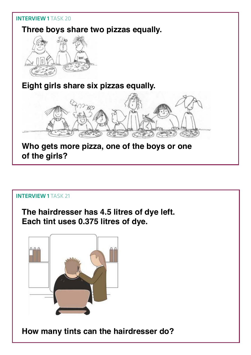

#### **INTERVIEW 1 TASK 21**

**The hairdresser has 4.5 litres of dye left. Each tint uses 0.375 litres of dye.**



**How many tints can the hairdresser do?**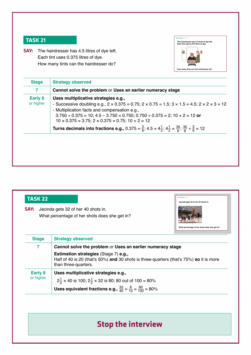**SAY:** The hairdresser has 4.5 litres of dye left. Each tint uses 0.375 litres of dye. How many tints can the hairdresser do?



| <b>Stage</b>         | <b>Strategy observed</b>                                                                                                                                                                                                                                                                                                                                                                                                                                                                                                                                  |  |
|----------------------|-----------------------------------------------------------------------------------------------------------------------------------------------------------------------------------------------------------------------------------------------------------------------------------------------------------------------------------------------------------------------------------------------------------------------------------------------------------------------------------------------------------------------------------------------------------|--|
| 7                    | Cannot solve the problem or Uses an earlier numeracy stage                                                                                                                                                                                                                                                                                                                                                                                                                                                                                                |  |
| Early 8<br>or higher | Uses multiplicative strategies e.g.,<br>- Successive doubling e.g., $2 \times 0.375 = 0.75$ ; $2 \times 0.75 = 1.5$ ; $3 \times 1.5 = 4.5$ ; $2 \times 2 \times 3 = 12$<br>- Multiplication facts and compensation e.g.,<br>$3.750 \div 0.375 = 10$ ; $4.5 - 3.750 = 0.750$ ; $0.750 \div 0.375 = 2$ ; $10 + 2 = 12$ or<br>$10 \times 0.375 = 3.75$ ; $2 \times 0.375 = 0.75$ ; $10 + 2 = 12$<br>Turns decimals into fractions e.g., 0.375 = $\frac{3}{8}$ ; 4.5 = $4\frac{1}{2}$ ; $4\frac{1}{2}$ = $\frac{36}{8}$ ; $\frac{36}{8}$ ÷ $\frac{3}{8}$ = 12 |  |
|                      |                                                                                                                                                                                                                                                                                                                                                                                                                                                                                                                                                           |  |

| SAY:                        | Jacinda gets 32 of her 40 shots in.<br>What percentage of her shots does she get in?<br>What percentage of her shots does she get in?                           |  |
|-----------------------------|-----------------------------------------------------------------------------------------------------------------------------------------------------------------|--|
| <b>Stage</b>                | <b>Strategy observed</b>                                                                                                                                        |  |
| 7                           | Cannot solve the problem or Uses an earlier numeracy stage                                                                                                      |  |
|                             | <b>Estimation strategies (Stage 7) e.g.,</b><br>Half of 40 is 20 (that's 50%) and 30 shots is three-quarters (that's 75%) so it is more<br>than three-quarters. |  |
| <b>Early 8</b><br>or higher | Uses multiplicative strategies e.g.,                                                                                                                            |  |
|                             | $2\frac{1}{2}$ × 40 is 100; $2\frac{1}{2}$ × 32 is 80; 80 out of 100 = 80%                                                                                      |  |
|                             | <b>Uses equivalent fractions e.g.,</b> $\frac{32}{40} = \frac{8}{10} = \frac{80}{100} = 80\%$                                                                   |  |

## **Stop the interview**